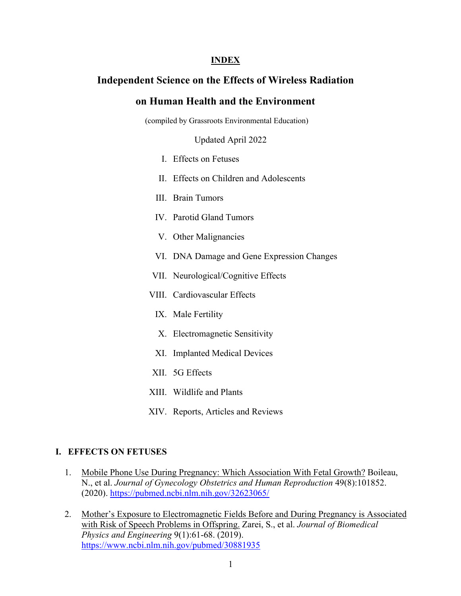#### **INDEX**

## **Independent Science on the Effects of Wireless Radiation**

#### **on Human Health and the Environment**

(compiled by Grassroots Environmental Education)

Updated April 2022

- I. Effects on Fetuses
- II. Effects on Children and Adolescents
- III. Brain Tumors
- IV. Parotid Gland Tumors
- V. Other Malignancies
- VI. DNA Damage and Gene Expression Changes
- VII. Neurological/Cognitive Effects
- VIII. Cardiovascular Effects
	- IX. Male Fertility
	- X. Electromagnetic Sensitivity
- XI. Implanted Medical Devices
- XII. 5G Effects
- XIII. Wildlife and Plants
- XIV. Reports, Articles and Reviews

#### **I. EFFECTS ON FETUSES**

- 1. Mobile Phone Use During Pregnancy: Which Association With Fetal Growth? Boileau, N., et al. *Journal of Gynecology Obstetrics and Human Reproduction* 49(8):101852. (2020). https://pubmed.ncbi.nlm.nih.gov/32623065/
- 2. Mother's Exposure to Electromagnetic Fields Before and During Pregnancy is Associated with Risk of Speech Problems in Offspring. Zarei, S., et al. *Journal of Biomedical Physics and Engineering* 9(1):61-68. (2019). https://www.ncbi.nlm.nih.gov/pubmed/30881935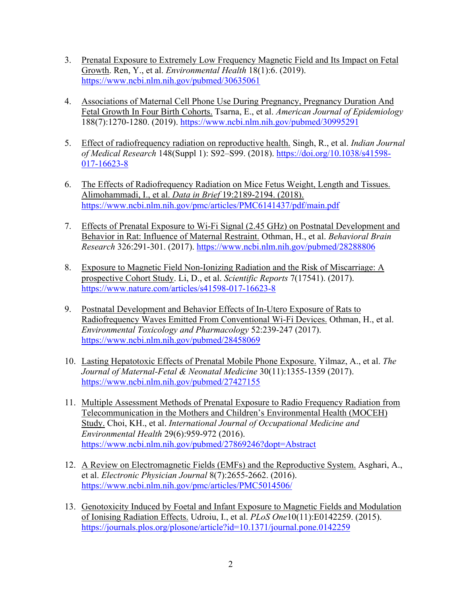- 3. Prenatal Exposure to Extremely Low Frequency Magnetic Field and Its Impact on Fetal Growth. Ren, Y., et al. *Environmental Health* 18(1):6. (2019). https://www.ncbi.nlm.nih.gov/pubmed/30635061
- 4. Associations of Maternal Cell Phone Use During Pregnancy, Pregnancy Duration And Fetal Growth In Four Birth Cohorts. Tsarna, E., et al. *American Journal of Epidemiology* 188(7):1270-1280. (2019). https://www.ncbi.nlm.nih.gov/pubmed/30995291
- 5. Effect of radiofrequency radiation on reproductive health. Singh, R., et al. *Indian Journal of Medical Research* 148(Suppl 1): S92–S99. (2018). https://doi.org/10.1038/s41598- 017-16623-8
- 6. The Effects of Radiofrequency Radiation on Mice Fetus Weight, Length and Tissues. Alimohammadi, I., et al. *Data in Brief* 19:2189-2194. (2018). https://www.ncbi.nlm.nih.gov/pmc/articles/PMC6141437/pdf/main.pdf
- 7. Effects of Prenatal Exposure to Wi-Fi Signal (2.45 GHz) on Postnatal Development and Behavior in Rat: Influence of Maternal Restraint. Othman, H., et al. *Behavioral Brain Research* 326:291-301. (2017). https://www.ncbi.nlm.nih.gov/pubmed/28288806
- 8. Exposure to Magnetic Field Non-Ionizing Radiation and the Risk of Miscarriage: A prospective Cohort Study. Li, D., et al. *Scientific Reports* 7(17541). (2017). https://www.nature.com/articles/s41598-017-16623-8
- 9. Postnatal Development and Behavior Effects of In-Utero Exposure of Rats to Radiofrequency Waves Emitted From Conventional Wi-Fi Devices. Othman, H., et al. *Environmental Toxicology and Pharmacology* 52:239-247 (2017). https://www.ncbi.nlm.nih.gov/pubmed/28458069
- 10. Lasting Hepatotoxic Effects of Prenatal Mobile Phone Exposure. Yilmaz, A., et al. *The Journal of Maternal-Fetal & Neonatal Medicine* 30(11):1355-1359 (2017). https://www.ncbi.nlm.nih.gov/pubmed/27427155
- 11. Multiple Assessment Methods of Prenatal Exposure to Radio Frequency Radiation from Telecommunication in the Mothers and Children's Environmental Health (MOCEH) Study. Choi, KH., et al. *International Journal of Occupational Medicine and Environmental Health* 29(6):959-972 (2016). https://www.ncbi.nlm.nih.gov/pubmed/27869246?dopt=Abstract
- 12. A Review on Electromagnetic Fields (EMFs) and the Reproductive System. Asghari, A., et al. *Electronic Physician Journal* 8(7):2655-2662. (2016). https://www.ncbi.nlm.nih.gov/pmc/articles/PMC5014506/
- 13. Genotoxicity Induced by Foetal and Infant Exposure to Magnetic Fields and Modulation of Ionising Radiation Effects. Udroiu, I., et al. *PLoS One*10(11):E0142259. (2015). https://journals.plos.org/plosone/article?id=10.1371/journal.pone.0142259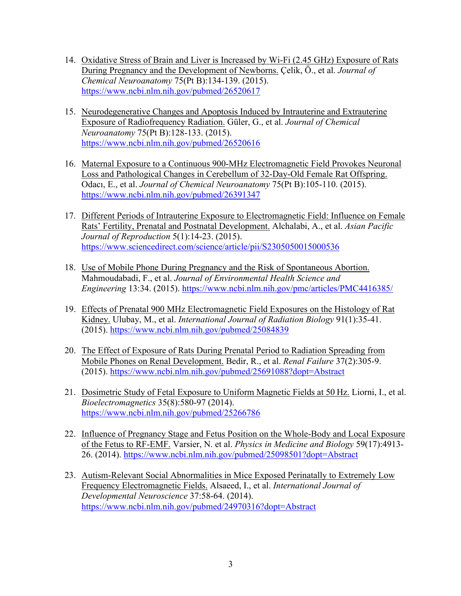- 14. Oxidative Stress of Brain and Liver is Increased by Wi-Fi (2.45 GHz) Exposure of Rats During Pregnancy and the Development of Newborns. Çelik, Ö., et al. *Journal of Chemical Neuroanatomy* 75(Pt B):134-139. (2015). https://www.ncbi.nlm.nih.gov/pubmed/26520617
- 15. Neurodegenerative Changes and Apoptosis Induced by Intrauterine and Extrauterine Exposure of Radiofrequency Radiation. Güler, G., et al. *Journal of Chemical Neuroanatomy* 75(Pt B):128-133. (2015). https://www.ncbi.nlm.nih.gov/pubmed/26520616
- 16. Maternal Exposure to a Continuous 900-MHz Electromagnetic Field Provokes Neuronal Loss and Pathological Changes in Cerebellum of 32-Day-Old Female Rat Offspring. Odacı, E., et al. *Journal of Chemical Neuroanatomy* 75(Pt B):105-110. (2015). https://www.ncbi.nlm.nih.gov/pubmed/26391347
- 17. Different Periods of Intrauterine Exposure to Electromagnetic Field: Influence on Female Rats' Fertility, Prenatal and Postnatal Development. Alchalabi, A., et al. *Asian Pacific Journal of Reproduction* 5(1):14-23. (2015). https://www.sciencedirect.com/science/article/pii/S2305050015000536
- 18. Use of Mobile Phone During Pregnancy and the Risk of Spontaneous Abortion. Mahmoudabadi, F., et al. *Journal of Environmental Health Science and Engineering* 13:34. (2015). https://www.ncbi.nlm.nih.gov/pmc/articles/PMC4416385/
- 19. Effects of Prenatal 900 MHz Electromagnetic Field Exposures on the Histology of Rat Kidney. Ulubay, M., et al. *International Journal of Radiation Biology* 91(1):35-41. (2015). https://www.ncbi.nlm.nih.gov/pubmed/25084839
- 20. The Effect of Exposure of Rats During Prenatal Period to Radiation Spreading from Mobile Phones on Renal Development. Bedir, R., et al. *Renal Failure* 37(2):305-9. (2015). https://www.ncbi.nlm.nih.gov/pubmed/25691088?dopt=Abstract
- 21. Dosimetric Study of Fetal Exposure to Uniform Magnetic Fields at 50 Hz. Liorni, I., et al. *Bioelectromagnetics* 35(8):580-97 (2014). https://www.ncbi.nlm.nih.gov/pubmed/25266786
- 22. Influence of Pregnancy Stage and Fetus Position on the Whole-Body and Local Exposure of the Fetus to RF-EMF. Varsier, N. et al. *Physics in Medicine and Biology* 59(17):4913- 26. (2014). https://www.ncbi.nlm.nih.gov/pubmed/25098501?dopt=Abstract
- 23. Autism-Relevant Social Abnormalities in Mice Exposed Perinatally to Extremely Low Frequency Electromagnetic Fields. Alsaeed, I., et al. *International Journal of Developmental Neuroscience* 37:58-64. (2014). https://www.ncbi.nlm.nih.gov/pubmed/24970316?dopt=Abstract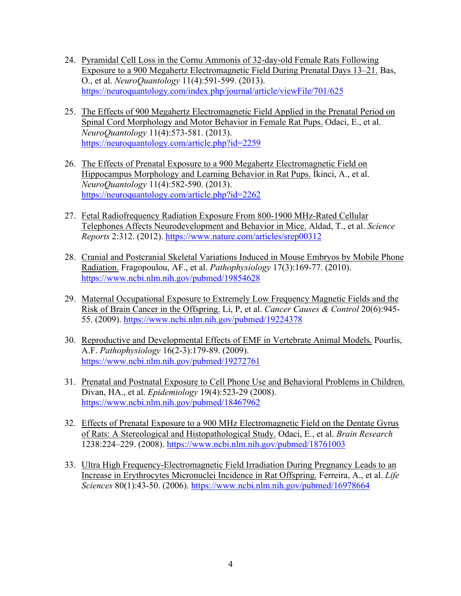- 24. Pyramidal Cell Loss in the Cornu Ammonis of 32-day-old Female Rats Following Exposure to a 900 Megahertz Electromagnetic Field During Prenatal Days 13–21. Bas, O., et al. *NeuroQuantology* 11(4):591-599. (2013). https://neuroquantology.com/index.php/journal/article/viewFile/701/625
- 25. The Effects of 900 Megahertz Electromagnetic Field Applied in the Prenatal Period on Spinal Cord Morphology and Motor Behavior in Female Rat Pups. Odaci, E., et al. *NeuroQuantology* 11(4):573-581. (2013). https://neuroquantology.com/article.php?id=2259
- 26. The Effects of Prenatal Exposure to a 900 Megahertz Electromagnetic Field on Hippocampus Morphology and Learning Behavior in Rat Pups. İkinci, A., et al. *NeuroQuantology* 11(4):582-590. (2013). https://neuroquantology.com/article.php?id=2262
- 27. Fetal Radiofrequency Radiation Exposure From 800-1900 MHz-Rated Cellular Telephones Affects Neurodevelopment and Behavior in Mice. Aldad, T., et al. *Science Reports* 2:312. (2012). https://www.nature.com/articles/srep00312
- 28. Cranial and Postcranial Skeletal Variations Induced in Mouse Embryos by Mobile Phone Radiation. Fragopoulou, AF., et al. *Pathophysiology* 17(3):169-77. (2010). https://www.ncbi.nlm.nih.gov/pubmed/19854628
- 29. Maternal Occupational Exposure to Extremely Low Frequency Magnetic Fields and the Risk of Brain Cancer in the Offspring. Li, P, et al. *Cancer Causes & Control* 20(6):945- 55. (2009). https://www.ncbi.nlm.nih.gov/pubmed/19224378
- 30. Reproductive and Developmental Effects of EMF in Vertebrate Animal Models. Pourlis, A.F. *Pathophysiology* 16(2-3):179-89. (2009). https://www.ncbi.nlm.nih.gov/pubmed/19272761
- 31. Prenatal and Postnatal Exposure to Cell Phone Use and Behavioral Problems in Children. Divan, HA., et al. *Epidemiology* 19(4):523-29 (2008). https://www.ncbi.nlm.nih.gov/pubmed/18467962
- 32. Effects of Prenatal Exposure to a 900 MHz Electromagnetic Field on the Dentate Gyrus of Rats: A Stereological and Histopathological Study. Odaci, E., et al. *Brain Research* 1238:224–229. (2008). https://www.ncbi.nlm.nih.gov/pubmed/18761003
- 33. Ultra High Frequency-Electromagnetic Field Irradiation During Pregnancy Leads to an Increase in Erythrocytes Micronuclei Incidence in Rat Offspring. Ferreira, A., et al. *Life Sciences* 80(1):43-50. (2006). https://www.ncbi.nlm.nih.gov/pubmed/16978664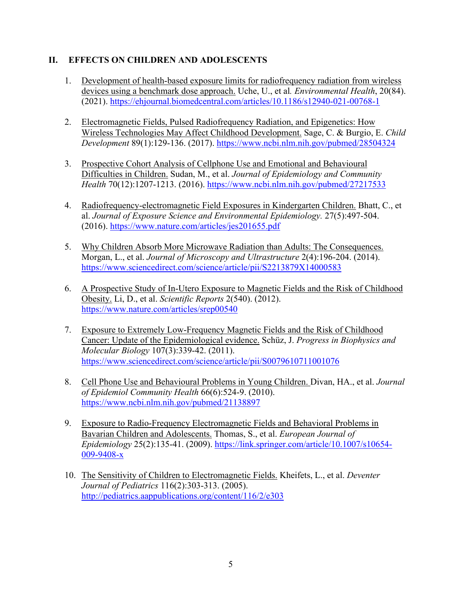## **II. EFFECTS ON CHILDREN AND ADOLESCENTS**

- 1. Development of health-based exposure limits for radiofrequency radiation from wireless devices using a benchmark dose approach. Uche, U., et al*. Environmental Health*, 20(84). (2021). https://ehjournal.biomedcentral.com/articles/10.1186/s12940-021-00768-1
- 2. Electromagnetic Fields, Pulsed Radiofrequency Radiation, and Epigenetics: How Wireless Technologies May Affect Childhood Development. Sage, C. & Burgio, E. *Child Development* 89(1):129-136. (2017). https://www.ncbi.nlm.nih.gov/pubmed/28504324
- 3. Prospective Cohort Analysis of Cellphone Use and Emotional and Behavioural Difficulties in Children. Sudan, M., et al. *Journal of Epidemiology and Community Health* 70(12):1207-1213. (2016). https://www.ncbi.nlm.nih.gov/pubmed/27217533
- 4. Radiofrequency-electromagnetic Field Exposures in Kindergarten Children. Bhatt, C., et al. *Journal of Exposure Science and Environmental Epidemiology.* 27(5):497-504. (2016). https://www.nature.com/articles/jes201655.pdf
- 5. Why Children Absorb More Microwave Radiation than Adults: The Consequences. Morgan, L., et al. *Journal of Microscopy and Ultrastructure* 2(4):196-204. (2014). https://www.sciencedirect.com/science/article/pii/S2213879X14000583
- 6. A Prospective Study of In-Utero Exposure to Magnetic Fields and the Risk of Childhood Obesity. Li, D., et al. *Scientific Reports* 2(540). (2012). https://www.nature.com/articles/srep00540
- 7. Exposure to Extremely Low-Frequency Magnetic Fields and the Risk of Childhood Cancer: Update of the Epidemiological evidence. Schüz, J. *Progress in Biophysics and Molecular Biology* 107(3):339-42. (2011). https://www.sciencedirect.com/science/article/pii/S0079610711001076
- 8. Cell Phone Use and Behavioural Problems in Young Children. Divan, HA., et al. *Journal of Epidemiol Community Health* 66(6):524-9. (2010). https://www.ncbi.nlm.nih.gov/pubmed/21138897
- 9. Exposure to Radio-Frequency Electromagnetic Fields and Behavioral Problems in Bavarian Children and Adolescents. Thomas, S., et al. *European Journal of Epidemiology* 25(2):135-41. (2009). https://link.springer.com/article/10.1007/s10654- 009-9408-x
- 10. The Sensitivity of Children to Electromagnetic Fields. Kheifets, L., et al. *Deventer Journal of Pediatrics* 116(2):303-313. (2005). http://pediatrics.aappublications.org/content/116/2/e303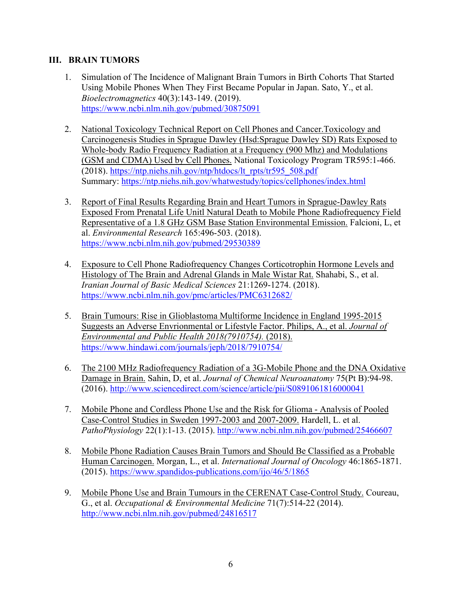### **III. BRAIN TUMORS**

- 1. Simulation of The Incidence of Malignant Brain Tumors in Birth Cohorts That Started Using Mobile Phones When They First Became Popular in Japan. Sato, Y., et al. *Bioelectromagnetics* 40(3):143-149. (2019). https://www.ncbi.nlm.nih.gov/pubmed/30875091
- 2. National Toxicology Technical Report on Cell Phones and Cancer.Toxicology and Carcinogenesis Studies in Sprague Dawley (Hsd:Sprague Dawley SD) Rats Exposed to Whole-body Radio Frequency Radiation at a Frequency (900 Mhz) and Modulations (GSM and CDMA) Used by Cell Phones. National Toxicology Program TR595:1-466. (2018). https://ntp.niehs.nih.gov/ntp/htdocs/lt\_rpts/tr595\_508.pdf Summary: https://ntp.niehs.nih.gov/whatwestudy/topics/cellphones/index.html
- 3. Report of Final Results Regarding Brain and Heart Tumors in Sprague-Dawley Rats Exposed From Prenatal Life Unitl Natural Death to Mobile Phone Radiofrequency Field Representative of a 1.8 GHz GSM Base Station Environmental Emission. Falcioni, L, et al. *Environmental Research* 165:496-503. (2018). https://www.ncbi.nlm.nih.gov/pubmed/29530389
- 4. Exposure to Cell Phone Radiofrequency Changes Corticotrophin Hormone Levels and Histology of The Brain and Adrenal Glands in Male Wistar Rat. Shahabi, S., et al. *Iranian Journal of Basic Medical Sciences* 21:1269-1274. (2018). https://www.ncbi.nlm.nih.gov/pmc/articles/PMC6312682/
- 5. Brain Tumours: Rise in Glioblastoma Multiforme Incidence in England 1995-2015 Suggests an Adverse Envrionmental or Lifestyle Factor. Philips, A., et al. *Journal of Environmental and Public Health 2018(7910754).* (2018). https://www.hindawi.com/journals/jeph/2018/7910754/
- 6. The 2100 MHz Radiofrequency Radiation of a 3G-Mobile Phone and the DNA Oxidative Damage in Brain. Sahin, D, et al. *Journal of Chemical Neuroanatomy* 75(Pt B):94-98. (2016). http://www.sciencedirect.com/science/article/pii/S0891061816000041
- 7. Mobile Phone and Cordless Phone Use and the Risk for Glioma Analysis of Pooled Case-Control Studies in Sweden 1997-2003 and 2007-2009. Hardell, L. et al. *PathoPhysiology* 22(1):1-13. (2015). http://www.ncbi.nlm.nih.gov/pubmed/25466607
- 8. Mobile Phone Radiation Causes Brain Tumors and Should Be Classified as a Probable Human Carcinogen. Morgan, L., et al. *International Journal of Oncology* 46:1865-1871. (2015). https://www.spandidos-publications.com/ijo/46/5/1865
- 9. Mobile Phone Use and Brain Tumours in the CERENAT Case-Control Study. Coureau, G., et al. *Occupational & Environmental Medicine* 71(7):514-22 (2014). http://www.ncbi.nlm.nih.gov/pubmed/24816517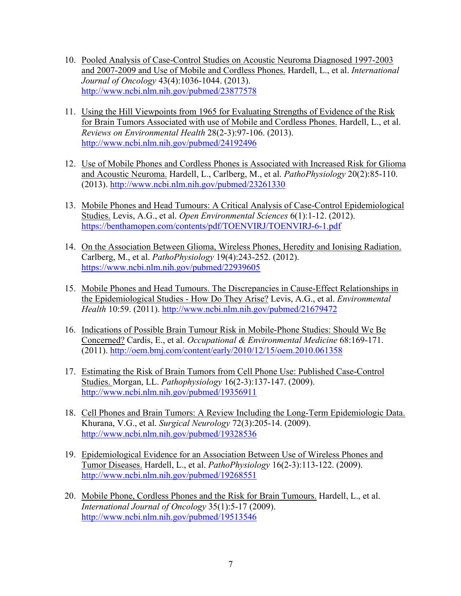- 10. Pooled Analysis of Case-Control Studies on Acoustic Neuroma Diagnosed 1997-2003 and 2007-2009 and Use of Mobile and Cordless Phones. Hardell, L., et al. *International Journal of Oncology* 43(4):1036-1044. (2013). http://www.ncbi.nlm.nih.gov/pubmed/23877578
- 11. Using the Hill Viewpoints from 1965 for Evaluating Strengths of Evidence of the Risk for Brain Tumors Associated with use of Mobile and Cordless Phones. Hardell, L., et al. *Reviews on Environmental Health* 28(2-3):97-106. (2013). http://www.ncbi.nlm.nih.gov/pubmed/24192496
- 12. Use of Mobile Phones and Cordless Phones is Associated with Increased Risk for Glioma and Acoustic Neuroma. Hardell, L., Carlberg, M., et al. *PathoPhysiology* 20(2):85-110. (2013). http://www.ncbi.nlm.nih.gov/pubmed/23261330
- 13. Mobile Phones and Head Tumours: A Critical Analysis of Case-Control Epidemiological Studies. Levis, A.G., et al. *Open Environmental Sciences* 6(1):1-12. (2012). https://benthamopen.com/contents/pdf/TOENVIRJ/TOENVIRJ-6-1.pdf
- 14. On the Association Between Glioma, Wireless Phones, Heredity and Ionising Radiation. Carlberg, M., et al. *PathoPhysiology* 19(4):243-252. (2012). https://www.ncbi.nlm.nih.gov/pubmed/22939605
- 15. Mobile Phones and Head Tumours. The Discrepancies in Cause-Effect Relationships in the Epidemiological Studies - How Do They Arise? Levis, A.G., et al. *Environmental Health* 10:59. (2011). http://www.ncbi.nlm.nih.gov/pubmed/21679472
- 16. Indications of Possible Brain Tumour Risk in Mobile-Phone Studies: Should We Be Concerned? Cardis, E., et al. *Occupational & Environmental Medicine* 68:169-171. (2011). http://oem.bmj.com/content/early/2010/12/15/oem.2010.061358
- 17. Estimating the Risk of Brain Tumors from Cell Phone Use: Published Case-Control Studies. Morgan, LL. *Pathophysiology* 16(2-3):137-147. (2009). http://www.ncbi.nlm.nih.gov/pubmed/19356911
- 18. Cell Phones and Brain Tumors: A Review Including the Long-Term Epidemiologic Data. Khurana, V.G., et al. *Surgical Neurology* 72(3):205-14. (2009). http://www.ncbi.nlm.nih.gov/pubmed/19328536
- 19. Epidemiological Evidence for an Association Between Use of Wireless Phones and Tumor Diseases. Hardell, L., et al. *PathoPhysiology* 16(2-3):113-122. (2009). http://www.ncbi.nlm.nih.gov/pubmed/19268551
- 20. Mobile Phone, Cordless Phones and the Risk for Brain Tumours. Hardell, L., et al. *International Journal of Oncology* 35(1):5-17 (2009). http://www.ncbi.nlm.nih.gov/pubmed/19513546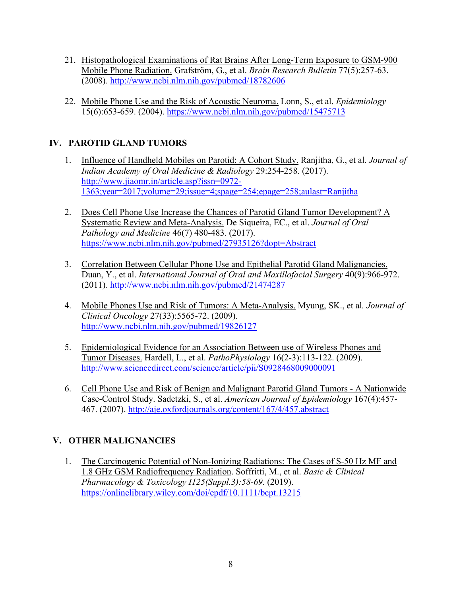- 21. Histopathological Examinations of Rat Brains After Long-Term Exposure to GSM-900 Mobile Phone Radiation. Grafström, G., et al. *Brain Research Bulletin* 77(5):257-63. (2008). http://www.ncbi.nlm.nih.gov/pubmed/18782606
- 22. Mobile Phone Use and the Risk of Acoustic Neuroma. Lonn, S., et al. *Epidemiology* 15(6):653-659. (2004). https://www.ncbi.nlm.nih.gov/pubmed/15475713

# **IV. PAROTID GLAND TUMORS**

- 1. Influence of Handheld Mobiles on Parotid: A Cohort Study. Ranjitha, G., et al. *Journal of Indian Academy of Oral Medicine & Radiology* 29:254-258. (2017). http://www.jiaomr.in/article.asp?issn=0972- 1363;year=2017;volume=29;issue=4;spage=254;epage=258;aulast=Ranjitha
- 2. Does Cell Phone Use Increase the Chances of Parotid Gland Tumor Development? A Systematic Review and Meta-Analysis. De Siqueira, EC., et al. *Journal of Oral Pathology and Medicine* 46(7) 480-483. (2017). https://www.ncbi.nlm.nih.gov/pubmed/27935126?dopt=Abstract
- 3. Correlation Between Cellular Phone Use and Epithelial Parotid Gland Malignancies. Duan, Y., et al. *International Journal of Oral and Maxillofacial Surgery* 40(9):966-972. (2011). http://www.ncbi.nlm.nih.gov/pubmed/21474287
- 4. Mobile Phones Use and Risk of Tumors: A Meta-Analysis. Myung, SK., et al*. Journal of Clinical Oncology* 27(33):5565-72. (2009). http://www.ncbi.nlm.nih.gov/pubmed/19826127
- 5. Epidemiological Evidence for an Association Between use of Wireless Phones and Tumor Diseases. Hardell, L., et al. *PathoPhysiology* 16(2-3):113-122. (2009). http://www.sciencedirect.com/science/article/pii/S0928468009000091
- 6. Cell Phone Use and Risk of Benign and Malignant Parotid Gland Tumors A Nationwide Case-Control Study. Sadetzki, S., et al. *American Journal of Epidemiology* 167(4):457- 467. (2007). http://aje.oxfordjournals.org/content/167/4/457.abstract

# **V. OTHER MALIGNANCIES**

1. The Carcinogenic Potential of Non-Ionizing Radiations: The Cases of S-50 Hz MF and 1.8 GHz GSM Radiofrequency Radiation. Soffritti, M., et al. *Basic & Clinical Pharmacology & Toxicology I125(Suppl.3):58-69.* (2019). https://onlinelibrary.wiley.com/doi/epdf/10.1111/bcpt.13215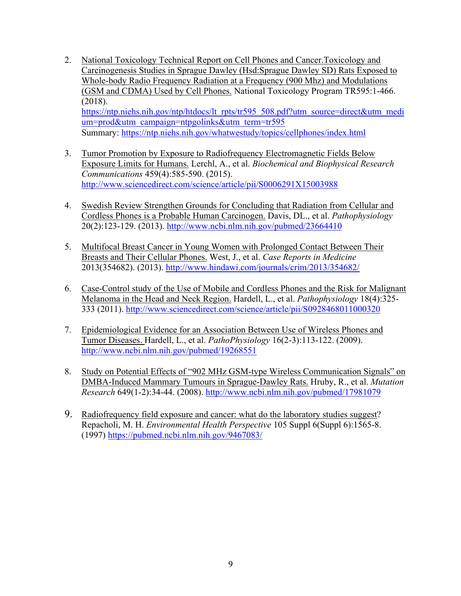- 2. National Toxicology Technical Report on Cell Phones and Cancer.Toxicology and Carcinogenesis Studies in Sprague Dawley (Hsd:Sprague Dawley SD) Rats Exposed to Whole-body Radio Frequency Radiation at a Frequency (900 Mhz) and Modulations (GSM and CDMA) Used by Cell Phones. National Toxicology Program TR595:1-466. (2018). https://ntp.niehs.nih.gov/ntp/htdocs/lt\_rpts/tr595\_508.pdf?utm\_source=direct&utm\_medi um=prod&utm\_campaign=ntpgolinks&utm\_term=tr595 Summary: https://ntp.niehs.nih.gov/whatwestudy/topics/cellphones/index.html
- 3. Tumor Promotion by Exposure to Radiofrequency Electromagnetic Fields Below Exposure Limits for Humans. Lerchl, A., et al. *Biochemical and Biophysical Research Communications* 459(4):585-590. (2015). http://www.sciencedirect.com/science/article/pii/S0006291X15003988
- 4. Swedish Review Strengthen Grounds for Concluding that Radiation from Cellular and Cordless Phones is a Probable Human Carcinogen. Davis, DL., et al. *Pathophysiology* 20(2):123-129. (2013). http://www.ncbi.nlm.nih.gov/pubmed/23664410
- 5. Multifocal Breast Cancer in Young Women with Prolonged Contact Between Their Breasts and Their Cellular Phones. West, J., et al. *Case Reports in Medicine* 2013(354682). (2013). http://www.hindawi.com/journals/crim/2013/354682/
- 6. Case-Control study of the Use of Mobile and Cordless Phones and the Risk for Malignant Melanoma in the Head and Neck Region. Hardell, L., et al. *Pathophysiology* 18(4):325- 333 (2011). http://www.sciencedirect.com/science/article/pii/S0928468011000320
- 7. Epidemiological Evidence for an Association Between Use of Wireless Phones and Tumor Diseases. Hardell, L., et al. *PathoPhysiology* 16(2-3):113-122. (2009). http://www.ncbi.nlm.nih.gov/pubmed/19268551
- 8. Study on Potential Effects of "902 MHz GSM-type Wireless Communication Signals" on DMBA-Induced Mammary Tumours in Sprague-Dawley Rats. Hruby, R., et al. *Mutation Research* 649(1-2):34-44. (2008). http://www.ncbi.nlm.nih.gov/pubmed/17981079
- 9. Radiofrequency field exposure and cancer: what do the laboratory studies suggest? Repacholi, M. H. *Environmental Health Perspective* 105 Suppl 6(Suppl 6):1565-8. (1997) https://pubmed.ncbi.nlm.nih.gov/9467083/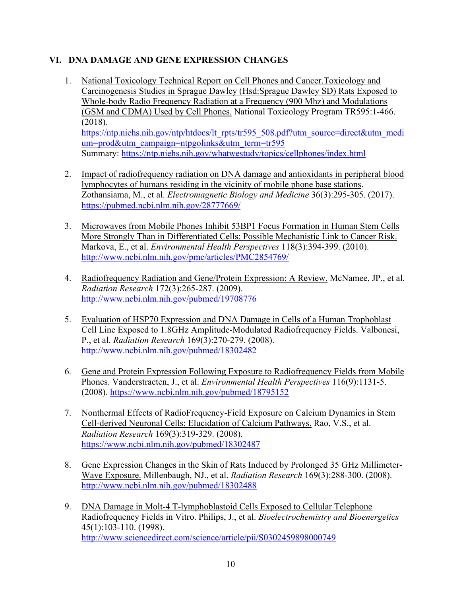## **VI. DNA DAMAGE AND GENE EXPRESSION CHANGES**

- 1. National Toxicology Technical Report on Cell Phones and Cancer.Toxicology and Carcinogenesis Studies in Sprague Dawley (Hsd:Sprague Dawley SD) Rats Exposed to Whole-body Radio Frequency Radiation at a Frequency (900 Mhz) and Modulations (GSM and CDMA) Used by Cell Phones. National Toxicology Program TR595:1-466. (2018). https://ntp.niehs.nih.gov/ntp/htdocs/lt\_rpts/tr595\_508.pdf?utm\_source=direct&utm\_medi um=prod&utm\_campaign=ntpgolinks&utm\_term=tr595 Summary: https://ntp.niehs.nih.gov/whatwestudy/topics/cellphones/index.html
- 2. Impact of radiofrequency radiation on DNA damage and antioxidants in peripheral blood lymphocytes of humans residing in the vicinity of mobile phone base stations. Zothansiama, M., et al. *Electromagnetic Biology and Medicine* 36(3):295-305. (2017). https://pubmed.ncbi.nlm.nih.gov/28777669/
- 3. Microwaves from Mobile Phones Inhibit 53BP1 Focus Formation in Human Stem Cells More Strongly Than in Differentiated Cells: Possible Mechanistic Link to Cancer Risk. Markova, E., et al. *Environmental Health Perspectives* 118(3):394-399. (2010). http://www.ncbi.nlm.nih.gov/pmc/articles/PMC2854769/
- 4. Radiofrequency Radiation and Gene/Protein Expression: A Review. McNamee, JP., et al. *Radiation Research* 172(3):265-287. (2009). http://www.ncbi.nlm.nih.gov/pubmed/19708776
- 5. Evaluation of HSP70 Expression and DNA Damage in Cells of a Human Trophoblast Cell Line Exposed to 1.8GHz Amplitude-Modulated Radiofrequency Fields. Valbonesi, P., et al. *Radiation Research* 169(3):270-279. (2008). http://www.ncbi.nlm.nih.gov/pubmed/18302482
- 6. Gene and Protein Expression Following Exposure to Radiofrequency Fields from Mobile Phones. Vanderstraeten, J., et al. *Environmental Health Perspectives* 116(9):1131-5. (2008). https://www.ncbi.nlm.nih.gov/pubmed/18795152
- 7. Nonthermal Effects of RadioFrequency-Field Exposure on Calcium Dynamics in Stem Cell-derived Neuronal Cells: Elucidation of Calcium Pathways. Rao, V.S., et al. *Radiation Research* 169(3):319-329. (2008). https://www.ncbi.nlm.nih.gov/pubmed/18302487
- 8. Gene Expression Changes in the Skin of Rats Induced by Prolonged 35 GHz Millimeter-Wave Exposure. Millenbaugh, NJ., et al. *Radiation Research* 169(3):288-300. (2008). http://www.ncbi.nlm.nih.gov/pubmed/18302488
- 9. DNA Damage in Molt-4 T-lymphoblastoid Cells Exposed to Cellular Telephone Radiofrequency Fields in Vitro. Philips, J., et al. *Bioelectrochemistry and Bioenergetics* 45(1):103-110. (1998). http://www.sciencedirect.com/science/article/pii/S0302459898000749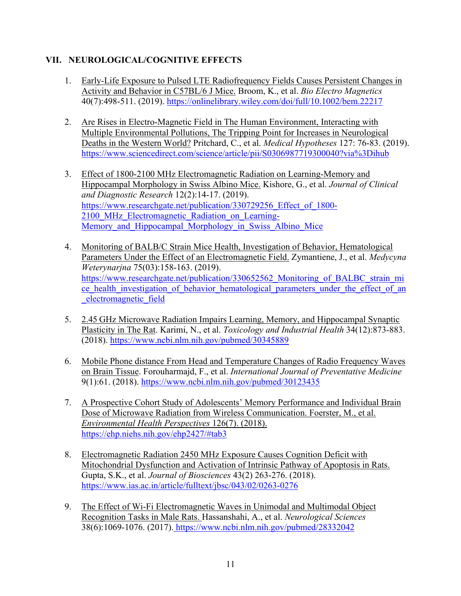## **VII. NEUROLOGICAL/COGNITIVE EFFECTS**

- 1. Early-Life Exposure to Pulsed LTE Radiofrequency Fields Causes Persistent Changes in Activity and Behavior in C57BL/6 J Mice. Broom, K., et al. *Bio Electro Magnetics*  40(7):498-511. (2019). https://onlinelibrary.wiley.com/doi/full/10.1002/bem.22217
- 2. Are Rises in Electro-Magnetic Field in The Human Environment, Interacting with Multiple Environmental Pollutions, The Tripping Point for Increases in Neurological Deaths in the Western World? Pritchard, C., et al. *Medical Hypotheses* 127: 76-83. (2019). https://www.sciencedirect.com/science/article/pii/S0306987719300040?via%3Dihub
- 3. Effect of 1800-2100 MHz Electromagnetic Radiation on Learning-Memory and Hippocampal Morphology in Swiss Albino Mice. Kishore, G., et al. *Journal of Clinical and Diagnostic Research* 12(2):14-17. (2019). https://www.researchgate.net/publication/330729256 Effect of 1800-2100 MHz Electromagnetic Radiation on Learning-Memory and Hippocampal Morphology in Swiss Albino Mice
- 4. Monitoring of BALB/C Strain Mice Health, Investigation of Behavior, Hematological Parameters Under the Effect of an Electromagnetic Field. Zymantiene, J., et al. *Medycyna Weterynarjna* 75(03):158-163. (2019). https://www.researchgate.net/publication/330652562\_Monitoring\_of\_BALBC\_strain\_mi ce health investigation of behavior hematological parameters under the effect of an \_electromagnetic\_field
- 5. 2.45 GHz Microwave Radiation Impairs Learning, Memory, and Hippocampal Synaptic Plasticity in The Rat. Karimi, N., et al. *Toxicology and Industrial Health* 34(12):873-883. (2018). https://www.ncbi.nlm.nih.gov/pubmed/30345889
- 6. Mobile Phone distance From Head and Temperature Changes of Radio Frequency Waves on Brain Tissue. Forouharmajd, F., et al. *International Journal of Preventative Medicine*  9(1):61. (2018). https://www.ncbi.nlm.nih.gov/pubmed/30123435
- 7. A Prospective Cohort Study of Adolescents' Memory Performance and Individual Brain Dose of Microwave Radiation from Wireless Communication. Foerster, M., et al. *Environmental Health Perspectives* 126(7). (2018). https://ehp.niehs.nih.gov/ehp2427/#tab3
- 8. Electromagnetic Radiation 2450 MHz Exposure Causes Cognition Deficit with Mitochondrial Dysfunction and Activation of Intrinsic Pathway of Apoptosis in Rats. Gupta, S.K., et al. *Journal of Biosciences* 43(2) 263-276. (2018). https://www.ias.ac.in/article/fulltext/jbsc/043/02/0263-0276
- 9. The Effect of Wi-Fi Electromagnetic Waves in Unimodal and Multimodal Object Recognition Tasks in Male Rats. Hassanshahi, A., et al. *Neurological Sciences* 38(6):1069-1076. (2017). https://www.ncbi.nlm.nih.gov/pubmed/28332042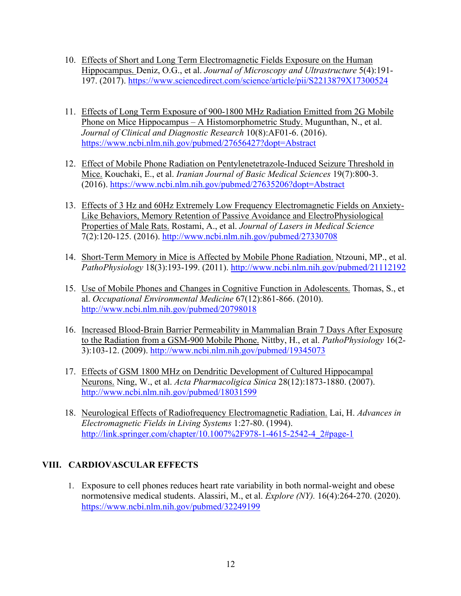- 10. Effects of Short and Long Term Electromagnetic Fields Exposure on the Human Hippocampus. Deniz, O.G., et al. *Journal of Microscopy and Ultrastructure* 5(4):191- 197. (2017). https://www.sciencedirect.com/science/article/pii/S2213879X17300524
- 11. Effects of Long Term Exposure of 900-1800 MHz Radiation Emitted from 2G Mobile Phone on Mice Hippocampus – A Histomorphometric Study. Mugunthan, N., et al. *Journal of Clinical and Diagnostic Research* 10(8):AF01-6. (2016). https://www.ncbi.nlm.nih.gov/pubmed/27656427?dopt=Abstract
- 12. Effect of Mobile Phone Radiation on Pentylenetetrazole-Induced Seizure Threshold in Mice. Kouchaki, E., et al. *Iranian Journal of Basic Medical Sciences* 19(7):800-3. (2016). https://www.ncbi.nlm.nih.gov/pubmed/27635206?dopt=Abstract
- 13. Effects of 3 Hz and 60Hz Extremely Low Frequency Electromagnetic Fields on Anxiety-Like Behaviors, Memory Retention of Passive Avoidance and ElectroPhysiological Properties of Male Rats. Rostami, A., et al. *Journal of Lasers in Medical Science* 7(2):120-125. (2016). http://www.ncbi.nlm.nih.gov/pubmed/27330708
- 14. Short-Term Memory in Mice is Affected by Mobile Phone Radiation. Ntzouni, MP., et al. *PathoPhysiology* 18(3):193-199. (2011). http://www.ncbi.nlm.nih.gov/pubmed/21112192
- 15. Use of Mobile Phones and Changes in Cognitive Function in Adolescents. Thomas, S., et al. *Occupational Environmental Medicine* 67(12):861-866. (2010). http://www.ncbi.nlm.nih.gov/pubmed/20798018
- 16. Increased Blood-Brain Barrier Permeability in Mammalian Brain 7 Days After Exposure to the Radiation from a GSM-900 Mobile Phone. Nittby, H., et al. *PathoPhysiology* 16(2- 3):103-12. (2009). http://www.ncbi.nlm.nih.gov/pubmed/19345073
- 17. Effects of GSM 1800 MHz on Dendritic Development of Cultured Hippocampal Neurons. Ning, W., et al. *Acta Pharmacoligica Sinica* 28(12):1873-1880. (2007). http://www.ncbi.nlm.nih.gov/pubmed/18031599
- 18. Neurological Effects of Radiofrequency Electromagnetic Radiation. Lai, H. *Advances in Electromagnetic Fields in Living Systems* 1:27-80. (1994). http://link.springer.com/chapter/10.1007%2F978-1-4615-2542-4\_2#page-1

## **VIII. CARDIOVASCULAR EFFECTS**

1. Exposure to cell phones reduces heart rate variability in both normal-weight and obese normotensive medical students. Alassiri, M., et al. *Explore (NY).* 16(4):264-270. (2020). https://www.ncbi.nlm.nih.gov/pubmed/32249199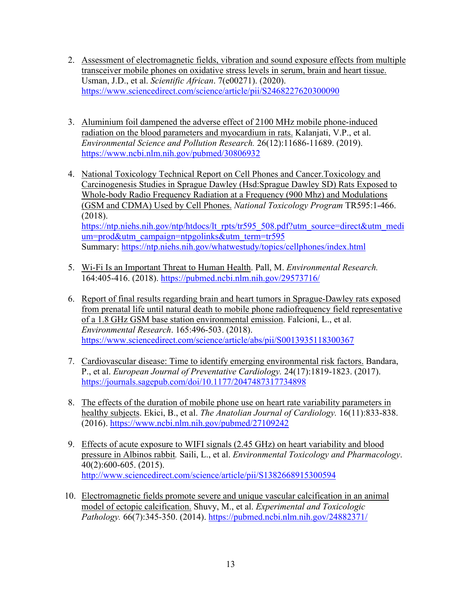- 2. Assessment of electromagnetic fields, vibration and sound exposure effects from multiple transceiver mobile phones on oxidative stress levels in serum, brain and heart tissue. Usman, J.D., et al. *Scientific African*. 7(e00271). (2020). https://www.sciencedirect.com/science/article/pii/S2468227620300090
- 3. Aluminium foil dampened the adverse effect of 2100 MHz mobile phone-induced radiation on the blood parameters and myocardium in rats. Kalanjati, V.P., et al. *Environmental Science and Pollution Research.* 26(12):11686-11689. (2019). https://www.ncbi.nlm.nih.gov/pubmed/30806932
- 4. National Toxicology Technical Report on Cell Phones and Cancer.Toxicology and Carcinogenesis Studies in Sprague Dawley (Hsd:Sprague Dawley SD) Rats Exposed to Whole-body Radio Frequency Radiation at a Frequency (900 Mhz) and Modulations (GSM and CDMA) Used by Cell Phones. *National Toxicology Program* TR595:1-466. (2018). https://ntp.niehs.nih.gov/ntp/htdocs/lt\_rpts/tr595\_508.pdf?utm\_source=direct&utm\_medi um=prod&utm\_campaign=ntpgolinks&utm\_term=tr595 Summary: https://ntp.niehs.nih.gov/whatwestudy/topics/cellphones/index.html
- 5. Wi-Fi Is an Important Threat to Human Health. Pall, M. *Environmental Research.* 164:405-416. (2018). https://pubmed.ncbi.nlm.nih.gov/29573716/
- 6. Report of final results regarding brain and heart tumors in Sprague-Dawley rats exposed from prenatal life until natural death to mobile phone radiofrequency field representative of a 1.8 GHz GSM base station environmental emission. Falcioni, L., et al. *Environmental Research*. 165:496-503. (2018). https://www.sciencedirect.com/science/article/abs/pii/S0013935118300367
- 7. Cardiovascular disease: Time to identify emerging environmental risk factors. Bandara, P., et al. *European Journal of Preventative Cardiology.* 24(17):1819-1823. (2017). https://journals.sagepub.com/doi/10.1177/2047487317734898
- 8. The effects of the duration of mobile phone use on heart rate variability parameters in healthy subjects. Ekici, B., et al. *The Anatolian Journal of Cardiology.* 16(11):833-838. (2016). https://www.ncbi.nlm.nih.gov/pubmed/27109242
- 9. Effects of acute exposure to WIFI signals (2.45 GHz) on heart variability and blood pressure in Albinos rabbit*.* Saili, L., et al. *Environmental Toxicology and Pharmacology*. 40(2):600-605. (2015). http://www.sciencedirect.com/science/article/pii/S1382668915300594
- 10. Electromagnetic fields promote severe and unique vascular calcification in an animal model of ectopic calcification. Shuvy, M., et al. *Experimental and Toxicologic Pathology.* 66(7):345-350. (2014). https://pubmed.ncbi.nlm.nih.gov/24882371/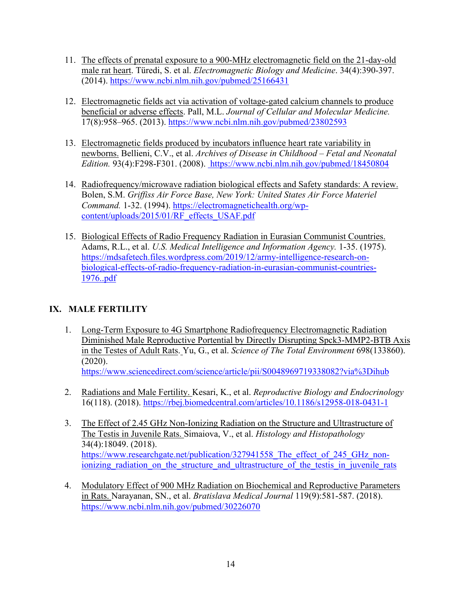- 11. The effects of prenatal exposure to a 900-MHz electromagnetic field on the 21-day-old male rat heart. Türedi, S. et al. *Electromagnetic Biology and Medicine*. 34(4):390-397. (2014). https://www.ncbi.nlm.nih.gov/pubmed/25166431
- 12. Electromagnetic fields act via activation of voltage-gated calcium channels to produce beneficial or adverse effects. Pall, M.L. *Journal of Cellular and Molecular Medicine.* 17(8):958–965. (2013). https://www.ncbi.nlm.nih.gov/pubmed/23802593
- 13. Electromagnetic fields produced by incubators influence heart rate variability in newborns. Bellieni, C.V., et al. *Archives of Disease in Childhood – Fetal and Neonatal Edition.* 93(4):F298-F301. (2008). https://www.ncbi.nlm.nih.gov/pubmed/18450804
- 14. Radiofrequency/microwave radiation biological effects and Safety standards: A review. Bolen, S.M. *Griffiss Air Force Base, New York: United States Air Force Materiel Command.* 1-32. (1994). https://electromagnetichealth.org/wpcontent/uploads/2015/01/RF\_effects\_USAF.pdf
- 15. Biological Effects of Radio Frequency Radiation in Eurasian Communist Countries. Adams, R.L., et al. *U.S. Medical Intelligence and Information Agency.* 1-35. (1975). https://mdsafetech.files.wordpress.com/2019/12/army-intelligence-research-onbiological-effects-of-radio-frequency-radiation-in-eurasian-communist-countries-1976..pdf

# **IX. MALE FERTILITY**

- 1. Long-Term Exposure to 4G Smartphone Radiofrequency Electromagnetic Radiation Diminished Male Reproductive Portential by Directly Disrupting Spck3-MMP2-BTB Axis in the Testes of Adult Rats. Yu, G., et al. *Science of The Total Environment* 698(133860). (2020). https://www.sciencedirect.com/science/article/pii/S0048969719338082?via%3Dihub
- 2. Radiations and Male Fertility. Kesari, K., et al. *Reproductive Biology and Endocrinology*  16(118). (2018). https://rbej.biomedcentral.com/articles/10.1186/s12958-018-0431-1
- 3. The Effect of 2.45 GHz Non-Ionizing Radiation on the Structure and Ultrastructure of The Testis in Juvenile Rats. Simaiova, V., et al. *Histology and Histopathology* 34(4):18049. (2018). https://www.researchgate.net/publication/327941558 The effect of 245 GHz nonionizing radiation on the structure and ultrastructure of the testis in juvenile rats
- 4. Modulatory Effect of 900 MHz Radiation on Biochemical and Reproductive Parameters in Rats. Narayanan, SN., et al. *Bratislava Medical Journal* 119(9):581-587. (2018). https://www.ncbi.nlm.nih.gov/pubmed/30226070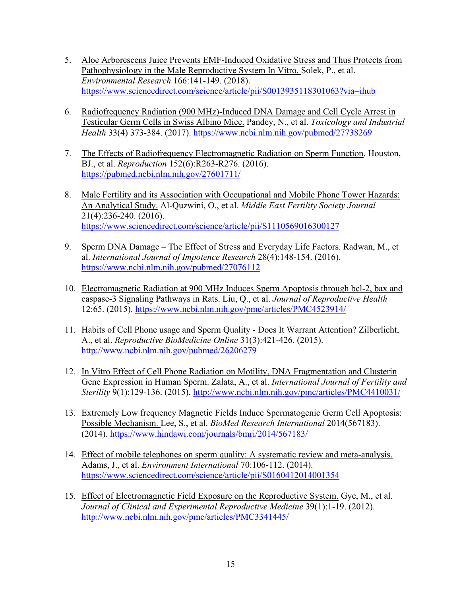- 5. Aloe Arborescens Juice Prevents EMF-Induced Oxidative Stress and Thus Protects from Pathophysiology in the Male Reproductive System In Vitro. Solek, P., et al. *Environmental Research* 166:141-149. (2018). https://www.sciencedirect.com/science/article/pii/S0013935118301063?via=ihub
- 6. Radiofrequency Radiation (900 MHz)-Induced DNA Damage and Cell Cycle Arrest in Testicular Germ Cells in Swiss Albino Mice. Pandey, N., et al. *Toxicology and Industrial Health* 33(4) 373-384. (2017). https://www.ncbi.nlm.nih.gov/pubmed/27738269
- 7. The Effects of Radiofrequency Electromagnetic Radiation on Sperm Function. Houston, BJ., et al. *Reproduction* 152(6):R263-R276. (2016). https://pubmed.ncbi.nlm.nih.gov/27601711/
- 8. Male Fertility and its Association with Occupational and Mobile Phone Tower Hazards: An Analytical Study. Al-Quzwini, O., et al. *Middle East Fertility Society Journal* 21(4):236-240. (2016). https://www.sciencedirect.com/science/article/pii/S1110569016300127
- 9. Sperm DNA Damage The Effect of Stress and Everyday Life Factors. Radwan, M., et al. *International Journal of Impotence Research* 28(4):148-154. (2016). https://www.ncbi.nlm.nih.gov/pubmed/27076112
- 10. Electromagnetic Radiation at 900 MHz Induces Sperm Apoptosis through bcl-2, bax and caspase-3 Signaling Pathways in Rats. Liu, Q., et al. *Journal of Reproductive Health*  12:65. (2015). https://www.ncbi.nlm.nih.gov/pmc/articles/PMC4523914/
- 11. Habits of Cell Phone usage and Sperm Quality Does It Warrant Attention? Zilberlicht, A., et al. *Reproductive BioMedicine Online* 31(3):421-426. (2015). http://www.ncbi.nlm.nih.gov/pubmed/26206279
- 12. In Vitro Effect of Cell Phone Radiation on Motility, DNA Fragmentation and Clusterin Gene Expression in Human Sperm. Zalata, A., et al. *International Journal of Fertility and Sterility* 9(1):129-136. (2015). http://www.ncbi.nlm.nih.gov/pmc/articles/PMC4410031/
- 13. Extremely Low frequency Magnetic Fields Induce Spermatogenic Germ Cell Apoptosis: Possible Mechanism. Lee, S., et al. *BioMed Research International* 2014(567183). (2014). https://www.hindawi.com/journals/bmri/2014/567183/
- 14. Effect of mobile telephones on sperm quality: A systematic review and meta-analysis. Adams, J., et al. *Environment International* 70:106-112. (2014). https://www.sciencedirect.com/science/article/pii/S0160412014001354
- 15. Effect of Electromagnetic Field Exposure on the Reproductive System. Gye, M., et al. *Journal of Clinical and Experimental Reproductive Medicine* 39(1):1-19. (2012). http://www.ncbi.nlm.nih.gov/pmc/articles/PMC3341445/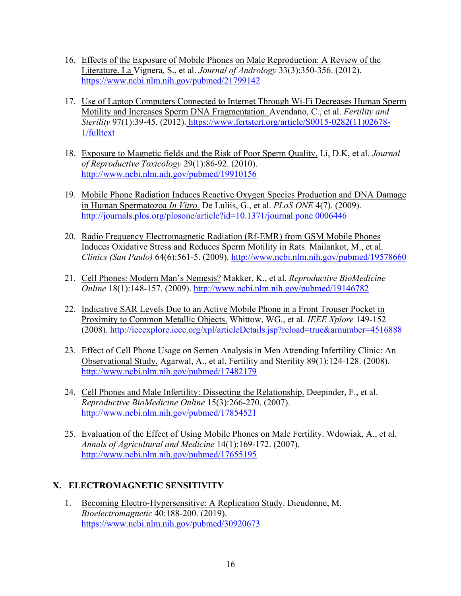- 16. Effects of the Exposure of Mobile Phones on Male Reproduction: A Review of the Literature. La Vignera, S., et al. *Journal of Andrology* 33(3):350-356. (2012). https://www.ncbi.nlm.nih.gov/pubmed/21799142
- 17. Use of Laptop Computers Connected to Internet Through Wi-Fi Decreases Human Sperm Motility and Increases Sperm DNA Fragmentation. Avendano, C., et al. *Fertility and Sterility* 97(1):39-45. (2012). https://www.fertstert.org/article/S0015-0282(11)02678- 1/fulltext
- 18. Exposure to Magnetic fields and the Risk of Poor Sperm Quality. Li, D.K, et al. *Journal of Reproductive Toxicology* 29(1):86-92. (2010). http://www.ncbi.nlm.nih.gov/pubmed/19910156
- 19. Mobile Phone Radiation Induces Reactive Oxygen Species Production and DNA Damage in Human Spermatozoa *In Vitro.* De Luliis, G., et al. *PLoS ONE* 4(7). (2009). http://journals.plos.org/plosone/article?id=10.1371/journal.pone.0006446
- 20. Radio Frequency Electromagnetic Radiation (Rf-EMR) from GSM Mobile Phones Induces Oxidative Stress and Reduces Sperm Motility in Rats. Mailankot, M., et al. *Clinics (San Paulo)* 64(6):561-5. (2009). http://www.ncbi.nlm.nih.gov/pubmed/19578660
- 21. Cell Phones: Modern Man's Nemesis? Makker, K., et al. *Reproductive BioMedicine Online* 18(1):148-157. (2009). http://www.ncbi.nlm.nih.gov/pubmed/19146782
- 22. Indicative SAR Levels Due to an Active Mobile Phone in a Front Trouser Pocket in Proximity to Common Metallic Objects. Whittow, WG., et al. *IEEE Xplore* 149-152 (2008). http://ieeexplore.ieee.org/xpl/articleDetails.jsp?reload=true&arnumber=4516888
- 23. Effect of Cell Phone Usage on Semen Analysis in Men Attending Infertility Clinic: An Observational Study. Agarwal, A., et al. Fertility and Sterility 89(1):124-128. (2008). http://www.ncbi.nlm.nih.gov/pubmed/17482179
- 24. Cell Phones and Male Infertility: Dissecting the Relationship. Deepinder, F., et al. *Reproductive BioMedicine Online* 15(3):266-270. (2007). http://www.ncbi.nlm.nih.gov/pubmed/17854521
- 25. Evaluation of the Effect of Using Mobile Phones on Male Fertility. Wdowiak, A., et al. *Annals of Agricultural and Medicine* 14(1):169-172. (2007). http://www.ncbi.nlm.nih.gov/pubmed/17655195

## **X. ELECTROMAGNETIC SENSITIVITY**

1. Becoming Electro-Hypersensitive: A Replication Study. Dieudonne, M. *Bioelectromagnetic* 40:188-200. (2019). https://www.ncbi.nlm.nih.gov/pubmed/30920673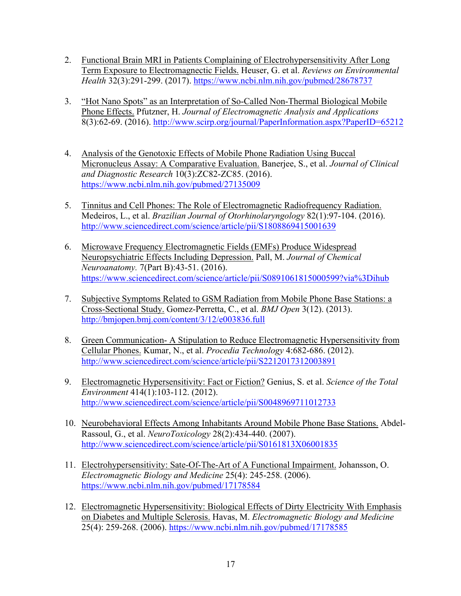- 2. Functional Brain MRI in Patients Complaining of Electrohypersensitivity After Long Term Exposure to Electromagnectic Fields. Heuser, G. et al. *Reviews on Environmental Health* 32(3):291-299. (2017). https://www.ncbi.nlm.nih.gov/pubmed/28678737
- 3. "Hot Nano Spots" as an Interpretation of So-Called Non-Thermal Biological Mobile Phone Effects. Pfutzner, H. *Journal of Electromagnetic Analysis and Applications* 8(3):62-69. (2016). http://www.scirp.org/journal/PaperInformation.aspx?PaperID=65212
- 4. Analysis of the Genotoxic Effects of Mobile Phone Radiation Using Buccal Micronucleus Assay: A Comparative Evaluation. Banerjee, S., et al. *Journal of Clinical and Diagnostic Research* 10(3):ZC82-ZC85. (2016). https://www.ncbi.nlm.nih.gov/pubmed/27135009
- 5. Tinnitus and Cell Phones: The Role of Electromagnetic Radiofrequency Radiation. Medeiros, L., et al. *Brazilian Journal of Otorhinolaryngology* 82(1):97-104. (2016). http://www.sciencedirect.com/science/article/pii/S1808869415001639
- 6. Microwave Frequency Electromagnetic Fields (EMFs) Produce Widespread Neuropsychiatric Effects Including Depression. Pall, M. *Journal of Chemical Neuroanatomy.* 7(Part B):43-51. (2016). https://www.sciencedirect.com/science/article/pii/S0891061815000599?via%3Dihub
- 7. Subjective Symptoms Related to GSM Radiation from Mobile Phone Base Stations: a Cross-Sectional Study. Gomez-Perretta, C., et al. *BMJ Open* 3(12). (2013). http://bmjopen.bmj.com/content/3/12/e003836.full
- 8. Green Communication- A Stipulation to Reduce Electromagnetic Hypersensitivity from Cellular Phones. Kumar, N., et al. *Procedia Technology* 4:682-686. (2012). http://www.sciencedirect.com/science/article/pii/S2212017312003891
- 9. Electromagnetic Hypersensitivity: Fact or Fiction? Genius, S. et al. *Science of the Total Environment* 414(1):103-112. (2012). http://www.sciencedirect.com/science/article/pii/S0048969711012733
- 10. Neurobehavioral Effects Among Inhabitants Around Mobile Phone Base Stations. Abdel-Rassoul, G., et al. *NeuroToxicology* 28(2):434-440. (2007). http://www.sciencedirect.com/science/article/pii/S0161813X06001835
- 11. Electrohypersensitivity: Sate-Of-The-Art of A Functional Impairment. Johansson, O. *Electromagnetic Biology and Medicine* 25(4): 245-258. (2006). https://www.ncbi.nlm.nih.gov/pubmed/17178584
- 12. Electromagnetic Hypersensitivity: Biological Effects of Dirty Electricity With Emphasis on Diabetes and Multiple Sclerosis. Havas, M. *Electromagnetic Biology and Medicine*  25(4): 259-268. (2006). https://www.ncbi.nlm.nih.gov/pubmed/17178585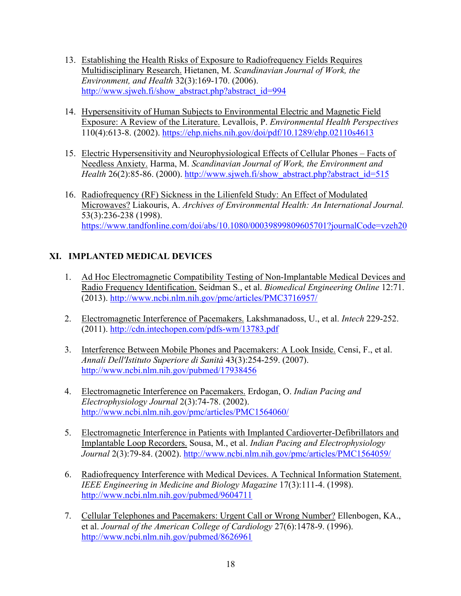- 13. Establishing the Health Risks of Exposure to Radiofrequency Fields Requires Multidisciplinary Research. Hietanen, M. *Scandinavian Journal of Work, the Environment, and Health* 32(3):169-170. (2006). http://www.sjweh.fi/show\_abstract.php?abstract\_id=994
- 14. Hypersensitivity of Human Subjects to Environmental Electric and Magnetic Field Exposure: A Review of the Literature. Levallois, P. *Environmental Health Perspectives* 110(4):613-8. (2002). https://ehp.niehs.nih.gov/doi/pdf/10.1289/ehp.02110s4613
- 15. Electric Hypersensitivity and Neurophysiological Effects of Cellular Phones Facts of Needless Anxiety. Harma, M. *Scandinavian Journal of Work, the Environment and Health* 26(2):85-86. (2000). http://www.sjweh.fi/show\_abstract.php?abstract\_id=515
- 16. Radiofrequency (RF) Sickness in the Lilienfeld Study: An Effect of Modulated Microwaves? Liakouris, A. *Archives of Environmental Health: An International Journal.*  53(3):236-238 (1998). https://www.tandfonline.com/doi/abs/10.1080/00039899809605701?journalCode=vzeh20

# **XI. IMPLANTED MEDICAL DEVICES**

- 1. Ad Hoc Electromagnetic Compatibility Testing of Non-Implantable Medical Devices and Radio Frequency Identification. Seidman S., et al. *Biomedical Engineering Online* 12:71. (2013). http://www.ncbi.nlm.nih.gov/pmc/articles/PMC3716957/
- 2. Electromagnetic Interference of Pacemakers. Lakshmanadoss, U., et al. *Intech* 229-252. (2011). http://cdn.intechopen.com/pdfs-wm/13783.pdf
- 3. Interference Between Mobile Phones and Pacemakers: A Look Inside. Censi, F., et al. *Annali Dell'Istituto Superiore di Sanità* 43(3):254-259. (2007). http://www.ncbi.nlm.nih.gov/pubmed/17938456
- 4. Electromagnetic Interference on Pacemakers. Erdogan, O. *Indian Pacing and Electrophysiology Journal* 2(3):74-78. (2002). http://www.ncbi.nlm.nih.gov/pmc/articles/PMC1564060/
- 5. Electromagnetic Interference in Patients with Implanted Cardioverter-Defibrillators and Implantable Loop Recorders. Sousa, M., et al. *Indian Pacing and Electrophysiology Journal* 2(3):79-84. (2002). http://www.ncbi.nlm.nih.gov/pmc/articles/PMC1564059/
- 6. Radiofrequency Interference with Medical Devices. A Technical Information Statement. *IEEE Engineering in Medicine and Biology Magazine* 17(3):111-4. (1998). http://www.ncbi.nlm.nih.gov/pubmed/9604711
- 7. Cellular Telephones and Pacemakers: Urgent Call or Wrong Number? Ellenbogen, KA., et al. *Journal of the American College of Cardiology* 27(6):1478-9. (1996). http://www.ncbi.nlm.nih.gov/pubmed/8626961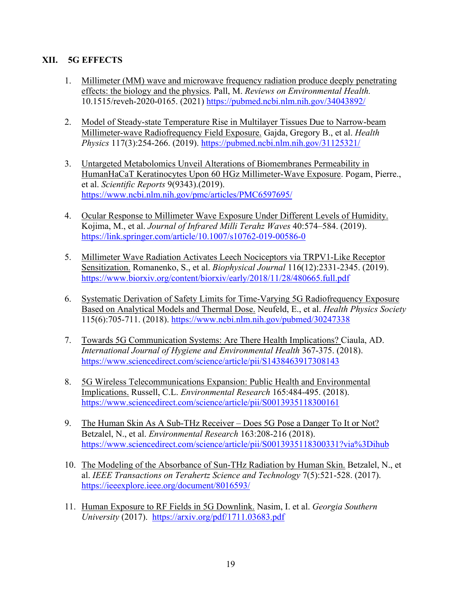## **XII. 5G EFFECTS**

- 1. Millimeter (MM) wave and microwave frequency radiation produce deeply penetrating effects: the biology and the physics. Pall, M. *Reviews on Environmental Health.*  10.1515/reveh-2020-0165. (2021) https://pubmed.ncbi.nlm.nih.gov/34043892/
- 2. Model of Steady-state Temperature Rise in Multilayer Tissues Due to Narrow-beam Millimeter-wave Radiofrequency Field Exposure. Gajda, Gregory B., et al. *Health Physics* 117(3):254-266. (2019). https://pubmed.ncbi.nlm.nih.gov/31125321/
- 3. Untargeted Metabolomics Unveil Alterations of Biomembranes Permeability in HumanHaCaT Keratinocytes Upon 60 HGz Millimeter-Wave Exposure. Pogam, Pierre., et al. *Scientific Reports* 9(9343).(2019). https://www.ncbi.nlm.nih.gov/pmc/articles/PMC6597695/
- 4. Ocular Response to Millimeter Wave Exposure Under Different Levels of Humidity. Kojima, M., et al. *Journal of Infrared Milli Terahz Waves* 40:574–584. (2019). https://link.springer.com/article/10.1007/s10762-019-00586-0
- 5. Millimeter Wave Radiation Activates Leech Nociceptors via TRPV1-Like Receptor Sensitization. Romanenko, S., et al. *Biophysical Journal* 116(12):2331-2345. (2019). https://www.biorxiv.org/content/biorxiv/early/2018/11/28/480665.full.pdf
- 6. Systematic Derivation of Safety Limits for Time-Varying 5G Radiofrequency Exposure Based on Analytical Models and Thermal Dose. Neufeld, E., et al. *Health Physics Society*  115(6):705-711. (2018). https://www.ncbi.nlm.nih.gov/pubmed/30247338
- 7. Towards 5G Communication Systems: Are There Health Implications? Ciaula, AD. *International Journal of Hygiene and Environmental Health* 367-375. (2018). https://www.sciencedirect.com/science/article/pii/S1438463917308143
- 8. 5G Wireless Telecommunications Expansion: Public Health and Environmental Implications. Russell, C.L. *Environmental Research* 165:484-495. (2018). https://www.sciencedirect.com/science/article/pii/S0013935118300161
- 9. The Human Skin As A Sub-THz Receiver Does 5G Pose a Danger To It or Not? Betzalel, N., et al. *Environmental Research* 163:208-216 (2018). https://www.sciencedirect.com/science/article/pii/S0013935118300331?via%3Dihub
- 10. The Modeling of the Absorbance of Sun-THz Radiation by Human Skin. Betzalel, N., et al. *IEEE Transactions on Terahertz Science and Technology* 7(5):521-528. (2017). https://ieeexplore.ieee.org/document/8016593/
- 11. Human Exposure to RF Fields in 5G Downlink. Nasim, I. et al. *Georgia Southern University* (2017). https://arxiv.org/pdf/1711.03683.pdf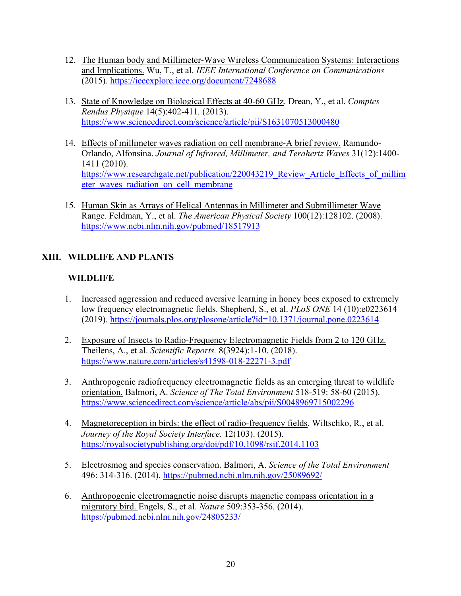- 12. The Human body and Millimeter-Wave Wireless Communication Systems: Interactions and Implications. Wu, T., et al. *IEEE International Conference on Communications*  (2015). https://ieeexplore.ieee.org/document/7248688
- 13. State of Knowledge on Biological Effects at 40-60 GHz. Drean, Y., et al. *Comptes Rendus Physique* 14(5):402-411*.* (2013). https://www.sciencedirect.com/science/article/pii/S1631070513000480
- 14. Effects of millimeter waves radiation on cell membrane-A brief review. Ramundo-Orlando, Alfonsina. *Journal of Infrared, Millimeter, and Terahertz Waves* 31(12):1400- 1411 (2010). https://www.researchgate.net/publication/220043219 Review Article Effects of millim eter waves radiation on cell membrane
- 15. Human Skin as Arrays of Helical Antennas in Millimeter and Submillimeter Wave Range. Feldman, Y., et al. *The American Physical Society* 100(12):128102. (2008). https://www.ncbi.nlm.nih.gov/pubmed/18517913

# **XIII. WILDLIFE AND PLANTS**

# **WILDLIFE**

- 1. Increased aggression and reduced aversive learning in honey bees exposed to extremely low frequency electromagnetic fields. Shepherd, S., et al. *PLoS ONE* 14 (10):e0223614 (2019). https://journals.plos.org/plosone/article?id=10.1371/journal.pone.0223614
- 2. Exposure of Insects to Radio-Frequency Electromagnetic Fields from 2 to 120 GHz. Theilens, A., et al. *Scientific Reports.* 8(3924):1-10. (2018). https://www.nature.com/articles/s41598-018-22271-3.pdf
- 3. Anthropogenic radiofrequency electromagnetic fields as an emerging threat to wildlife orientation. Balmori, A. *Science of The Total Environment* 518-519: 58-60 (2015). https://www.sciencedirect.com/science/article/abs/pii/S0048969715002296
- 4. Magnetoreception in birds: the effect of radio-frequency fields. Wiltschko, R., et al. *Journey of the Royal Society Interface.* 12(103). (2015). https://royalsocietypublishing.org/doi/pdf/10.1098/rsif.2014.1103
- 5. Electrosmog and species conservation. Balmori, A. *Science of the Total Environment* 496: 314-316. (2014). https://pubmed.ncbi.nlm.nih.gov/25089692/
- 6. Anthropogenic electromagnetic noise disrupts magnetic compass orientation in a migratory bird. Engels, S., et al. *Nature* 509:353-356. (2014). https://pubmed.ncbi.nlm.nih.gov/24805233/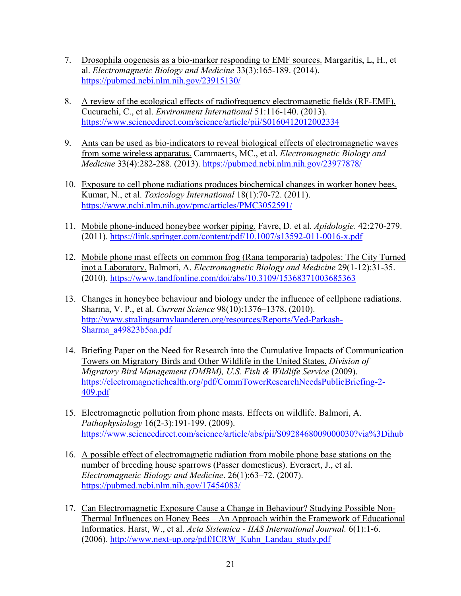- 7. Drosophila oogenesis as a bio-marker responding to EMF sources. Margaritis, L, H., et al. *Electromagnetic Biology and Medicine* 33(3):165-189. (2014). https://pubmed.ncbi.nlm.nih.gov/23915130/
- 8. A review of the ecological effects of radiofrequency electromagnetic fields (RF-EMF). Cucurachi, C., et al. *Environment International* 51:116-140. (2013). https://www.sciencedirect.com/science/article/pii/S0160412012002334
- 9. Ants can be used as bio-indicators to reveal biological effects of electromagnetic waves from some wireless apparatus. Cammaerts, MC., et al. *Electromagnetic Biology and Medicine* 33(4):282-288. (2013). https://pubmed.ncbi.nlm.nih.gov/23977878/
- 10. Exposure to cell phone radiations produces biochemical changes in worker honey bees. Kumar, N., et al. *Toxicology International* 18(1):70-72. (2011). https://www.ncbi.nlm.nih.gov/pmc/articles/PMC3052591/
- 11. Mobile phone-induced honeybee worker piping. Favre, D. et al. *Apidologie*. 42:270-279. (2011). https://link.springer.com/content/pdf/10.1007/s13592-011-0016-x.pdf
- 12. Mobile phone mast effects on common frog (Rana temporaria) tadpoles: The City Turned inot a Laboratory. Balmori, A. *Electromagnetic Biology and Medicine* 29(1-12):31-35. (2010). https://www.tandfonline.com/doi/abs/10.3109/15368371003685363
- 13. Changes in honeybee behaviour and biology under the influence of cellphone radiations. Sharma, V. P., et al. *Current Science* 98(10):1376–1378. (2010). http://www.stralingsarmvlaanderen.org/resources/Reports/Ved-Parkash-Sharma\_a49823b5aa.pdf
- 14. Briefing Paper on the Need for Research into the Cumulative Impacts of Communication Towers on Migratory Birds and Other Wildlife in the United States. *Division of Migratory Bird Management (DMBM), U.S. Fish & Wildlife Service* (2009). https://electromagnetichealth.org/pdf/CommTowerResearchNeedsPublicBriefing-2- 409.pdf
- 15. Electromagnetic pollution from phone masts. Effects on wildlife. Balmori, A. *Pathophysiology* 16(2-3):191-199. (2009). https://www.sciencedirect.com/science/article/abs/pii/S0928468009000030?via%3Dihub
- 16. A possible effect of electromagnetic radiation from mobile phone base stations on the number of breeding house sparrows (Passer domesticus). Everaert, J., et al. *Electromagnetic Biology and Medicine*. 26(1):63–72. (2007). https://pubmed.ncbi.nlm.nih.gov/17454083/
- 17. Can Electromagnetic Exposure Cause a Change in Behaviour? Studying Possible Non-Thermal Influences on Honey Bees – An Approach within the Framework of Educational Informatics. Harst, W., et al. *Acta Ststemica - IIAS International Journal.* 6(1):1-6. (2006). http://www.next-up.org/pdf/ICRW\_Kuhn\_Landau\_study.pdf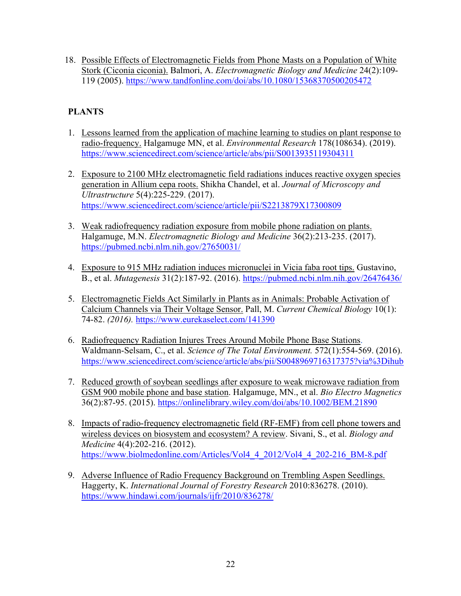18. Possible Effects of Electromagnetic Fields from Phone Masts on a Population of White Stork (Ciconia ciconia). Balmori, A. *Electromagnetic Biology and Medicine* 24(2):109- 119 (2005). https://www.tandfonline.com/doi/abs/10.1080/15368370500205472

# **PLANTS**

- 1. Lessons learned from the application of machine learning to studies on plant response to radio-frequency. Halgamuge MN, et al. *Environmental Research* 178(108634). (2019). https://www.sciencedirect.com/science/article/abs/pii/S0013935119304311
- 2. Exposure to 2100 MHz electromagnetic field radiations induces reactive oxygen species generation in Allium cepa roots. Shikha Chandel, et al. *Journal of Microscopy and Ultrastructure* 5(4):225-229. (2017). https://www.sciencedirect.com/science/article/pii/S2213879X17300809
- 3. Weak radiofrequency radiation exposure from mobile phone radiation on plants. Halgamuge, M.N. *Electromagnetic Biology and Medicine* 36(2):213-235. (2017). https://pubmed.ncbi.nlm.nih.gov/27650031/
- 4. Exposure to 915 MHz radiation induces micronuclei in Vicia faba root tips. Gustavino, B., et al. *Mutagenesis* 31(2):187-92. (2016). https://pubmed.ncbi.nlm.nih.gov/26476436/
- 5. Electromagnetic Fields Act Similarly in Plants as in Animals: Probable Activation of Calcium Channels via Their Voltage Sensor. Pall, M. *Current Chemical Biology* 10(1): 74-82. *(2016).* https://www.eurekaselect.com/141390
- 6. Radiofrequency Radiation Injures Trees Around Mobile Phone Base Stations. Waldmann-Selsam, C., et al. *Science of The Total Environment.* 572(1):554-569. (2016). https://www.sciencedirect.com/science/article/abs/pii/S0048969716317375?via%3Dihub
- 7. Reduced growth of soybean seedlings after exposure to weak microwave radiation from GSM 900 mobile phone and base station. Halgamuge, MN., et al. *Bio Electro Magnetics* 36(2):87-95. (2015). https://onlinelibrary.wiley.com/doi/abs/10.1002/BEM.21890
- 8. Impacts of radio-frequency electromagnetic field (RF-EMF) from cell phone towers and wireless devices on biosystem and ecosystem? A review. Sivani, S., et al. *Biology and Medicine* 4(4):202-216. (2012). https://www.biolmedonline.com/Articles/Vol4\_4\_2012/Vol4\_4\_202-216\_BM-8.pdf
- 9. Adverse Influence of Radio Frequency Background on Trembling Aspen Seedlings. Haggerty, K. *International Journal of Forestry Research* 2010:836278. (2010). https://www.hindawi.com/journals/ijfr/2010/836278/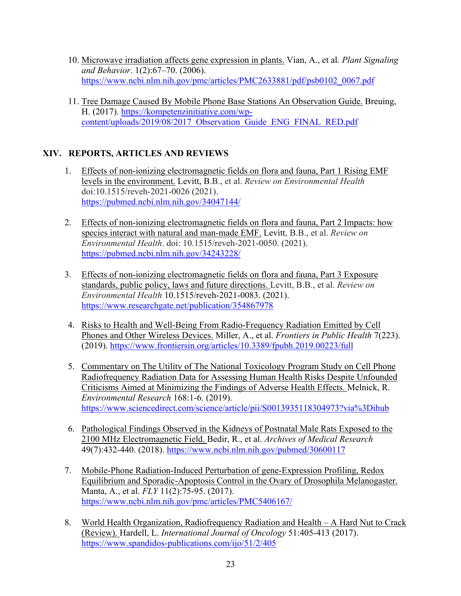- 10. Microwave irradiation affects gene expression in plants. Vian, A., et al*. Plant Signaling and Behavior*. 1(2):67–70. (2006). https://www.ncbi.nlm.nih.gov/pmc/articles/PMC2633881/pdf/psb0102\_0067.pdf
- 11. Tree Damage Caused By Mobile Phone Base Stations An Observation Guide. Breuing, H. (2017). https://kompetenzinitiative.com/wpcontent/uploads/2019/08/2017\_Observation\_Guide\_ENG\_FINAL\_RED.pdf

## **XIV. REPORTS, ARTICLES AND REVIEWS**

- 1. Effects of non-ionizing electromagnetic fields on flora and fauna, Part 1 Rising EMF levels in the environment. Levitt, B.B., et al. *Review on Environmental Health* doi:10.1515/reveh-2021-0026 (2021). https://pubmed.ncbi.nlm.nih.gov/34047144/
- 2. Effects of non-ionizing electromagnetic fields on flora and fauna, Part 2 Impacts: how species interact with natural and man-made EMF. Levitt, B.B., et al. *Review on Environmental Health*. doi: 10.1515/reveh-2021-0050. (2021). https://pubmed.ncbi.nlm.nih.gov/34243228/
- 3. Effects of non-ionizing electromagnetic fields on flora and fauna, Part 3 Exposure standards, public policy, laws and future directions. Levitt, B.B., et al. *Review on Environmental Health* 10.1515/reveh-2021-0083. (2021). https://www.researchgate.net/publication/354867978
- 4. Risks to Health and Well-Being From Radio-Frequency Radiation Emitted by Cell Phones and Other Wireless Devices. Miller, A., et al. *Frontiers in Public Health* 7(223). (2019). https://www.frontiersin.org/articles/10.3389/fpubh.2019.00223/full
- 5. Commentary on The Utility of The National Toxicology Program Study on Cell Phone Radiofrequency Radiation Data for Assessing Human Health Risks Despite Unfounded Criticisms Aimed at Minimizing the Findings of Adverse Health Effects. Melnick, R. *Environmental Research* 168:1-6. (2019). https://www.sciencedirect.com/science/article/pii/S0013935118304973?via%3Dihub
- 6. Pathological Findings Observed in the Kidneys of Postnatal Male Rats Exposed to the 2100 MHz Electromagnetic Field. Bedir, R., et al. *Archives of Medical Research* 49(7):432-440. (2018). https://www.ncbi.nlm.nih.gov/pubmed/30600117
- 7. Mobile-Phone Radiation-Induced Perturbation of gene-Expression Profiling, Redox Equilibrium and Sporadic-Apoptosis Control in the Ovary of Drosophila Melanogaster. Manta, A., et al. *FLY* 11(2):75-95. (2017). https://www.ncbi.nlm.nih.gov/pmc/articles/PMC5406167/
- 8. World Health Organization, Radiofrequency Radiation and Health A Hard Nut to Crack (Review). Hardell, L. *International Journal of Oncology* 51:405-413 (2017). https://www.spandidos-publications.com/ijo/51/2/405